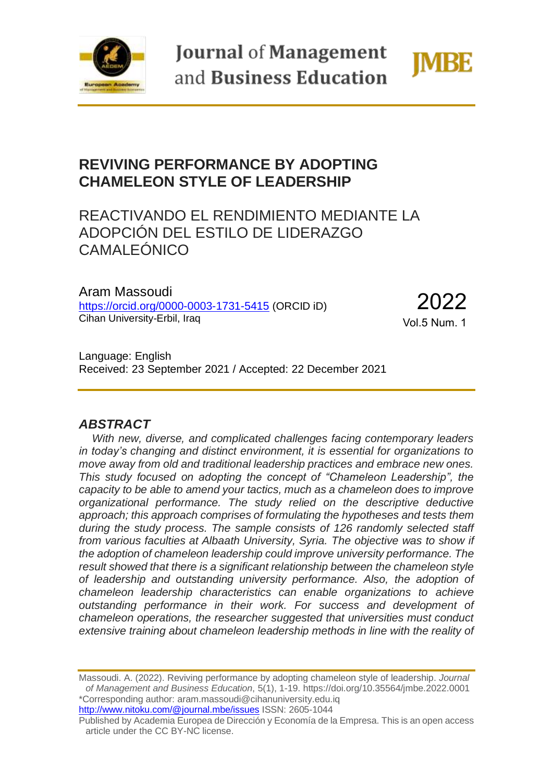

**Journal of Management** and Business Education



# **REVIVING PERFORMANCE BY ADOPTING CHAMELEON STYLE OF LEADERSHIP**

# REACTIVANDO EL RENDIMIENTO MEDIANTE LA ADOPCIÓN DEL ESTILO DE LIDERAZGO CAMALEÓNICO

Aram Massoudi <https://orcid.org/0000-0003-1731-5415> (ORCID iD) Cihan University-Erbil, Iraq

2022 Vol.5 Num. 1

Language: English Received: 23 September 2021 / Accepted: 22 December 2021

## *ABSTRACT*

*With new, diverse, and complicated challenges facing contemporary leaders in today's changing and distinct environment, it is essential for organizations to move away from old and traditional leadership practices and embrace new ones. This study focused on adopting the concept of "Chameleon Leadership", the capacity to be able to amend your tactics, much as a chameleon does to improve organizational performance. The study relied on the descriptive deductive approach; this approach comprises of formulating the hypotheses and tests them during the study process. The sample consists of 126 randomly selected staff*  from various faculties at Albaath University, Syria. The objective was to show if *the adoption of chameleon leadership could improve university performance. The result showed that there is a significant relationship between the chameleon style of leadership and outstanding university performance. Also, the adoption of chameleon leadership characteristics can enable organizations to achieve outstanding performance in their work. For success and development of chameleon operations, the researcher suggested that universities must conduct extensive training about chameleon leadership methods in line with the reality of* 

Massoudi. A. (2022). Reviving performance by adopting chameleon style of leadership. *Journal of Management and Business Education*, 5(1), 1-19. https://doi.org/10.35564/jmbe.2022.0001 \*Corresponding author: aram.massoudi@cihanuniversity.edu.iq <http://www.nitoku.com/@journal.mbe/issues> ISSN: 2605-1044

Published by Academia Europea de Dirección y Economía de la Empresa. This is an open access article under the CC BY-NC license.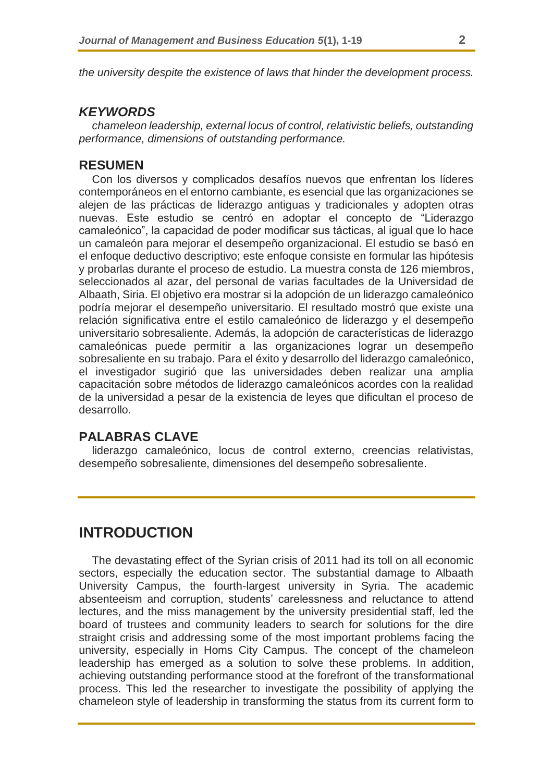*the university despite the existence of laws that hinder the development process.*

## *KEYWORDS*

*chameleon leadership, external locus of control, relativistic beliefs, outstanding performance, dimensions of outstanding performance.* 

### **RESUMEN**

Con los diversos y complicados desafíos nuevos que enfrentan los líderes contemporáneos en el entorno cambiante, es esencial que las organizaciones se alejen de las prácticas de liderazgo antiguas y tradicionales y adopten otras nuevas. Este estudio se centró en adoptar el concepto de "Liderazgo camaleónico", la capacidad de poder modificar sus tácticas, al igual que lo hace un camaleón para mejorar el desempeño organizacional. El estudio se basó en el enfoque deductivo descriptivo; este enfoque consiste en formular las hipótesis y probarlas durante el proceso de estudio. La muestra consta de 126 miembros, seleccionados al azar, del personal de varias facultades de la Universidad de Albaath, Siria. El objetivo era mostrar si la adopción de un liderazgo camaleónico podría mejorar el desempeño universitario. El resultado mostró que existe una relación significativa entre el estilo camaleónico de liderazgo y el desempeño universitario sobresaliente. Además, la adopción de características de liderazgo camaleónicas puede permitir a las organizaciones lograr un desempeño sobresaliente en su trabajo. Para el éxito y desarrollo del liderazgo camaleónico, el investigador sugirió que las universidades deben realizar una amplia capacitación sobre métodos de liderazgo camaleónicos acordes con la realidad de la universidad a pesar de la existencia de leyes que dificultan el proceso de desarrollo.

## **PALABRAS CLAVE**

liderazgo camaleónico, locus de control externo, creencias relativistas, desempeño sobresaliente, dimensiones del desempeño sobresaliente.

## **INTRODUCTION**

The devastating effect of the Syrian crisis of 2011 had its toll on all economic sectors, especially the education sector. The substantial damage to Albaath University Campus, the fourth-largest university in Syria. The academic absenteeism and corruption, students' carelessness and reluctance to attend lectures, and the miss management by the university presidential staff, led the board of trustees and community leaders to search for solutions for the dire straight crisis and addressing some of the most important problems facing the university, especially in Homs City Campus. The concept of the chameleon leadership has emerged as a solution to solve these problems. In addition, achieving outstanding performance stood at the forefront of the transformational process. This led the researcher to investigate the possibility of applying the chameleon style of leadership in transforming the status from its current form to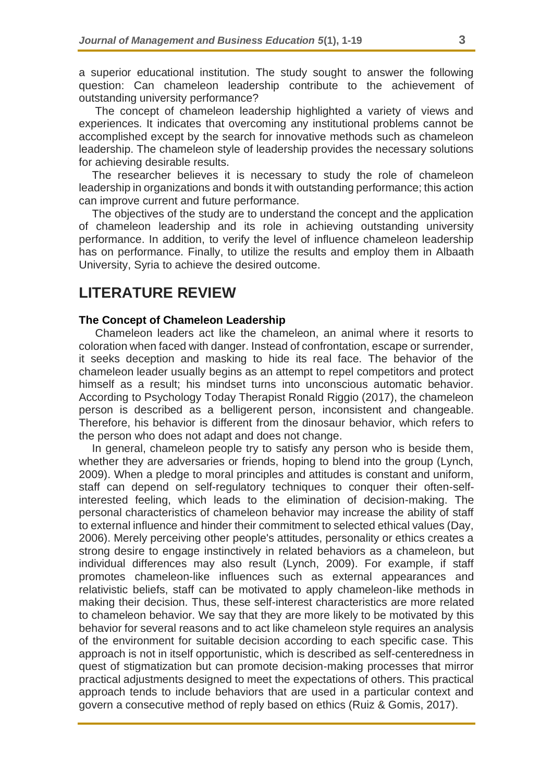a superior educational institution. The study sought to answer the following question: Can chameleon leadership contribute to the achievement of outstanding university performance?

The concept of chameleon leadership highlighted a variety of views and experiences. It indicates that overcoming any institutional problems cannot be accomplished except by the search for innovative methods such as chameleon leadership. The chameleon style of leadership provides the necessary solutions for achieving desirable results.

The researcher believes it is necessary to study the role of chameleon leadership in organizations and bonds it with outstanding performance; this action can improve current and future performance.

The objectives of the study are to understand the concept and the application of chameleon leadership and its role in achieving outstanding university performance. In addition, to verify the level of influence chameleon leadership has on performance. Finally, to utilize the results and employ them in Albaath University, Syria to achieve the desired outcome.

# **LITERATURE REVIEW**

### **The Concept of Chameleon Leadership**

Chameleon leaders act like the chameleon, an animal where it resorts to coloration when faced with danger. Instead of confrontation, escape or surrender, it seeks deception and masking to hide its real face. The behavior of the chameleon leader usually begins as an attempt to repel competitors and protect himself as a result; his mindset turns into unconscious automatic behavior. According to Psychology Today Therapist Ronald Riggio (2017), the chameleon person is described as a belligerent person, inconsistent and changeable. Therefore, his behavior is different from the dinosaur behavior, which refers to the person who does not adapt and does not change.

In general, chameleon people try to satisfy any person who is beside them, whether they are adversaries or friends, hoping to blend into the group (Lynch, 2009). When a pledge to moral principles and attitudes is constant and uniform, staff can depend on self-regulatory techniques to conquer their often-selfinterested feeling, which leads to the elimination of decision-making. The personal characteristics of chameleon behavior may increase the ability of staff to external influence and hinder their commitment to selected ethical values (Day, 2006). Merely perceiving other people's attitudes, personality or ethics creates a strong desire to engage instinctively in related behaviors as a chameleon, but individual differences may also result (Lynch, 2009). For example, if staff promotes chameleon-like influences such as external appearances and relativistic beliefs, staff can be motivated to apply chameleon-like methods in making their decision. Thus, these self-interest characteristics are more related to chameleon behavior. We say that they are more likely to be motivated by this behavior for several reasons and to act like chameleon style requires an analysis of the environment for suitable decision according to each specific case. This approach is not in itself opportunistic, which is described as self-centeredness in quest of stigmatization but can promote decision-making processes that mirror practical adjustments designed to meet the expectations of others. This practical approach tends to include behaviors that are used in a particular context and govern a consecutive method of reply based on ethics (Ruiz & Gomis, 2017).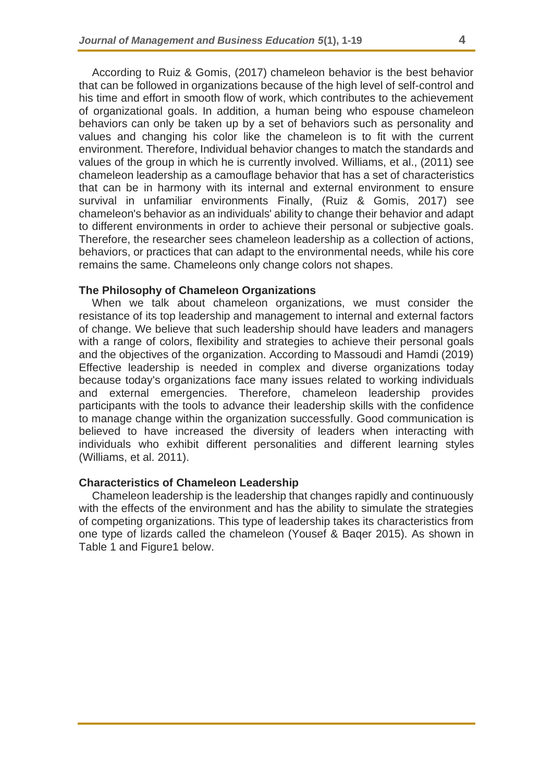According to Ruiz & Gomis, (2017) chameleon behavior is the best behavior that can be followed in organizations because of the high level of self-control and his time and effort in smooth flow of work, which contributes to the achievement of organizational goals. In addition, a human being who espouse chameleon behaviors can only be taken up by a set of behaviors such as personality and values and changing his color like the chameleon is to fit with the current environment. Therefore, Individual behavior changes to match the standards and values of the group in which he is currently involved. Williams, et al., (2011) see chameleon leadership as a camouflage behavior that has a set of characteristics that can be in harmony with its internal and external environment to ensure survival in unfamiliar environments Finally, (Ruiz & Gomis, 2017) see chameleon's behavior as an individuals' ability to change their behavior and adapt to different environments in order to achieve their personal or subjective goals. Therefore, the researcher sees chameleon leadership as a collection of actions, behaviors, or practices that can adapt to the environmental needs, while his core remains the same. Chameleons only change colors not shapes.

#### **The Philosophy of Chameleon Organizations**

When we talk about chameleon organizations, we must consider the resistance of its top leadership and management to internal and external factors of change. We believe that such leadership should have leaders and managers with a range of colors, flexibility and strategies to achieve their personal goals and the objectives of the organization. According to Massoudi and Hamdi (2019) Effective leadership is needed in complex and diverse organizations today because today's organizations face many issues related to working individuals and external emergencies. Therefore, chameleon leadership provides participants with the tools to advance their leadership skills with the confidence to manage change within the organization successfully. Good communication is believed to have increased the diversity of leaders when interacting with individuals who exhibit different personalities and different learning styles (Williams, et al. 2011).

#### **Characteristics of Chameleon Leadership**

Chameleon leadership is the leadership that changes rapidly and continuously with the effects of the environment and has the ability to simulate the strategies of competing organizations. This type of leadership takes its characteristics from one type of lizards called the chameleon (Yousef & Baqer 2015). As shown in Table 1 and Figure1 below.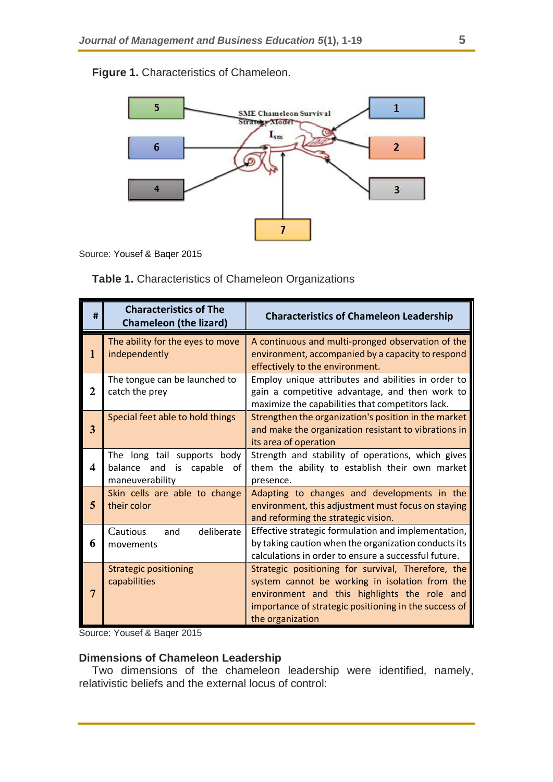

**Figure 1.** Characteristics of Chameleon.

Source: Yousef & Baqer 2015

**Table 1.** Characteristics of Chameleon Organizations

| #           | <b>Characteristics of The</b><br><b>Chameleon (the lizard)</b>                       | <b>Characteristics of Chameleon Leadership</b>                                                                                                                                                                                    |
|-------------|--------------------------------------------------------------------------------------|-----------------------------------------------------------------------------------------------------------------------------------------------------------------------------------------------------------------------------------|
| 1           | The ability for the eyes to move<br>independently                                    | A continuous and multi-pronged observation of the<br>environment, accompanied by a capacity to respond<br>effectively to the environment.                                                                                         |
| $\mathbf 2$ | The tongue can be launched to<br>catch the prey                                      | Employ unique attributes and abilities in order to<br>gain a competitive advantage, and then work to<br>maximize the capabilities that competitors lack.                                                                          |
| 3           | Special feet able to hold things                                                     | Strengthen the organization's position in the market<br>and make the organization resistant to vibrations in<br>its area of operation                                                                                             |
| 4           | The long tail supports body<br>balance and<br>is<br>capable<br>оf<br>maneuverability | Strength and stability of operations, which gives<br>them the ability to establish their own market<br>presence.                                                                                                                  |
| 5           | Skin cells are able to change<br>their color                                         | Adapting to changes and developments in the<br>environment, this adjustment must focus on staying<br>and reforming the strategic vision.                                                                                          |
| 6           | deliberate<br>Cautious<br>and<br>movements                                           | Effective strategic formulation and implementation,<br>by taking caution when the organization conducts its<br>calculations in order to ensure a successful future.                                                               |
| 7           | <b>Strategic positioning</b><br>capabilities                                         | Strategic positioning for survival, Therefore, the<br>system cannot be working in isolation from the<br>environment and this highlights the role and<br>importance of strategic positioning in the success of<br>the organization |

Source: Yousef & Baqer 2015

## **Dimensions of Chameleon Leadership**

Two dimensions of the chameleon leadership were identified, namely, relativistic beliefs and the external locus of control: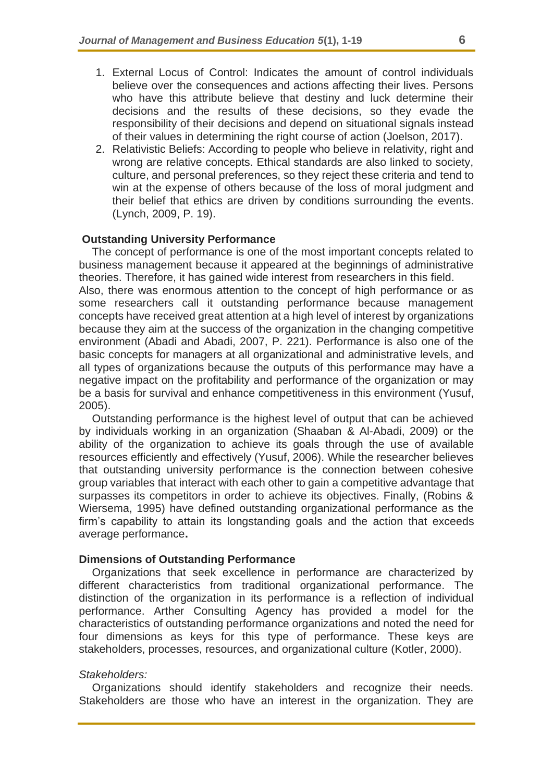- 1. External Locus of Control: Indicates the amount of control individuals believe over the consequences and actions affecting their lives. Persons who have this attribute believe that destiny and luck determine their decisions and the results of these decisions, so they evade the responsibility of their decisions and depend on situational signals instead of their values in determining the right course of action (Joelson, 2017).
- 2. Relativistic Beliefs: According to people who believe in relativity, right and wrong are relative concepts. Ethical standards are also linked to society, culture, and personal preferences, so they reject these criteria and tend to win at the expense of others because of the loss of moral judgment and their belief that ethics are driven by conditions surrounding the events. (Lynch, 2009, P. 19).

#### **Outstanding University Performance**

The concept of performance is one of the most important concepts related to business management because it appeared at the beginnings of administrative theories. Therefore, it has gained wide interest from researchers in this field. Also, there was enormous attention to the concept of high performance or as some researchers call it outstanding performance because management concepts have received great attention at a high level of interest by organizations because they aim at the success of the organization in the changing competitive environment (Abadi and Abadi, 2007, P. 221). Performance is also one of the basic concepts for managers at all organizational and administrative levels, and all types of organizations because the outputs of this performance may have a negative impact on the profitability and performance of the organization or may be a basis for survival and enhance competitiveness in this environment (Yusuf, 2005).

Outstanding performance is the highest level of output that can be achieved by individuals working in an organization (Shaaban & Al-Abadi, 2009) or the ability of the organization to achieve its goals through the use of available resources efficiently and effectively (Yusuf, 2006). While the researcher believes that outstanding university performance is the connection between cohesive group variables that interact with each other to gain a competitive advantage that surpasses its competitors in order to achieve its objectives. Finally, (Robins & Wiersema, 1995) have defined outstanding organizational performance as the firm's capability to attain its longstanding goals and the action that exceeds average performance**.** 

#### **Dimensions of Outstanding Performance**

Organizations that seek excellence in performance are characterized by different characteristics from traditional organizational performance. The distinction of the organization in its performance is a reflection of individual performance. Arther Consulting Agency has provided a model for the characteristics of outstanding performance organizations and noted the need for four dimensions as keys for this type of performance. These keys are stakeholders, processes, resources, and organizational culture (Kotler, 2000).

#### *Stakeholders:*

Organizations should identify stakeholders and recognize their needs. Stakeholders are those who have an interest in the organization. They are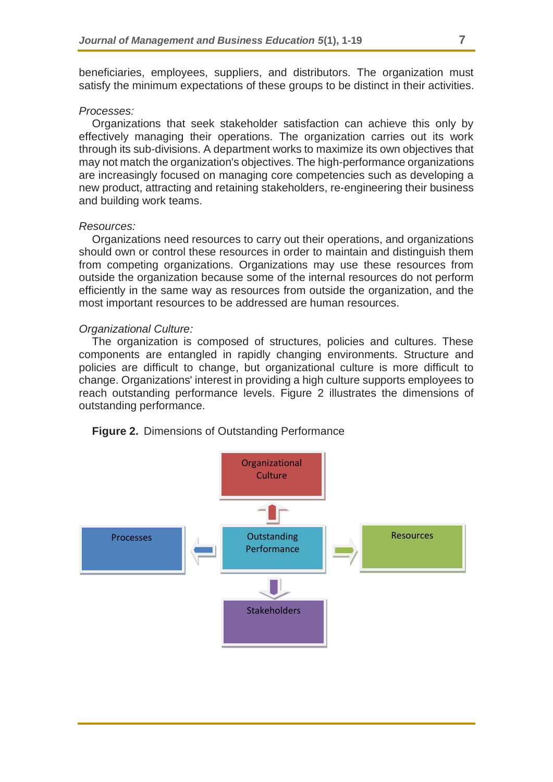beneficiaries, employees, suppliers, and distributors. The organization must satisfy the minimum expectations of these groups to be distinct in their activities.

#### *Processes:*

Organizations that seek stakeholder satisfaction can achieve this only by effectively managing their operations. The organization carries out its work through its sub-divisions. A department works to maximize its own objectives that may not match the organization's objectives. The high-performance organizations are increasingly focused on managing core competencies such as developing a new product, attracting and retaining stakeholders, re-engineering their business and building work teams.

#### *Resources:*

Organizations need resources to carry out their operations, and organizations should own or control these resources in order to maintain and distinguish them from competing organizations. Organizations may use these resources from outside the organization because some of the internal resources do not perform efficiently in the same way as resources from outside the organization, and the most important resources to be addressed are human resources.

#### *Organizational Culture:*

The organization is composed of structures, policies and cultures. These components are entangled in rapidly changing environments. Structure and policies are difficult to change, but organizational culture is more difficult to change. Organizations' interest in providing a high culture supports employees to reach outstanding performance levels. Figure 2 illustrates the dimensions of outstanding performance.



**Figure 2.** Dimensions of Outstanding Performance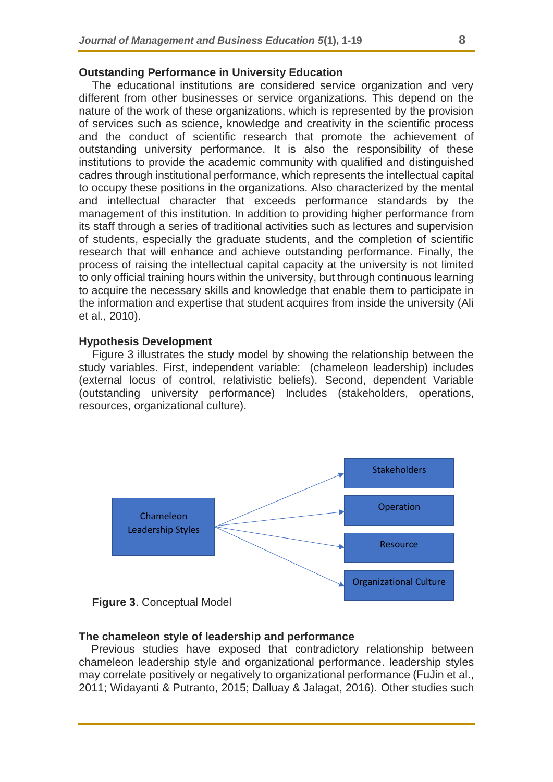#### **Outstanding Performance in University Education**

The educational institutions are considered service organization and very different from other businesses or service organizations. This depend on the nature of the work of these organizations, which is represented by the provision of services such as science, knowledge and creativity in the scientific process and the conduct of scientific research that promote the achievement of outstanding university performance. It is also the responsibility of these institutions to provide the academic community with qualified and distinguished cadres through institutional performance, which represents the intellectual capital to occupy these positions in the organizations. Also characterized by the mental and intellectual character that exceeds performance standards by the management of this institution. In addition to providing higher performance from its staff through a series of traditional activities such as lectures and supervision of students, especially the graduate students, and the completion of scientific research that will enhance and achieve outstanding performance. Finally, the process of raising the intellectual capital capacity at the university is not limited to only official training hours within the university, but through continuous learning to acquire the necessary skills and knowledge that enable them to participate in the information and expertise that student acquires from inside the university (Ali et al., 2010).

#### **Hypothesis Development**

Figure 3 illustrates the study model by showing the relationship between the study variables. First, independent variable: (chameleon leadership) includes (external locus of control, relativistic beliefs). Second, dependent Variable (outstanding university performance) Includes (stakeholders, operations, resources, organizational culture).





#### **The chameleon style of leadership and performance**

Previous studies have exposed that contradictory relationship between chameleon leadership style and organizational performance. leadership styles may correlate positively or negatively to organizational performance (FuJin et al., 2011; Widayanti & Putranto, 2015; Dalluay & Jalagat, 2016). Other studies such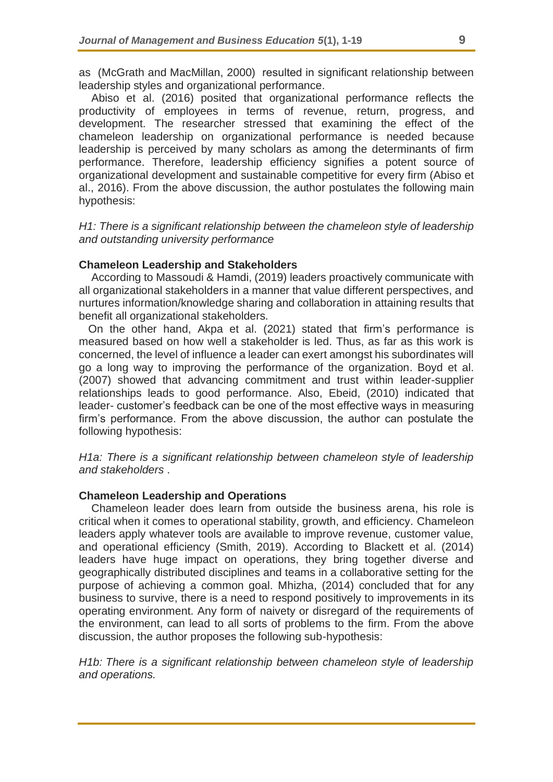as (McGrath and MacMillan, 2000) resulted in significant relationship between leadership styles and organizational performance.

Abiso et al. (2016) posited that organizational performance reflects the productivity of employees in terms of revenue, return, progress, and development. The researcher stressed that examining the effect of the chameleon leadership on organizational performance is needed because leadership is perceived by many scholars as among the determinants of firm performance. Therefore, leadership efficiency signifies a potent source of organizational development and sustainable competitive for every firm (Abiso et al., 2016). From the above discussion, the author postulates the following main hypothesis:

*H1: There is a significant relationship between the chameleon style of leadership and outstanding university performance*

#### **Chameleon Leadership and Stakeholders**

According to Massoudi & Hamdi, (2019) leaders proactively communicate with all organizational stakeholders in a manner that value different perspectives, and nurtures information/knowledge sharing and collaboration in attaining results that benefit all organizational stakeholders.

 On the other hand, Akpa et al. (2021) stated that firm's performance is measured based on how well a stakeholder is led. Thus, as far as this work is concerned, the level of influence a leader can exert amongst his subordinates will go a long way to improving the performance of the organization. Boyd et al. (2007) showed that advancing commitment and trust within leader-supplier relationships leads to good performance. Also, Ebeid, (2010) indicated that leader- customer's feedback can be one of the most effective ways in measuring firm's performance. From the above discussion, the author can postulate the following hypothesis:

*H1a: There is a significant relationship between chameleon style of leadership and stakeholders* .

### **Chameleon Leadership and Operations**

Chameleon leader does learn from outside the business arena, his role is critical when it comes to operational stability, growth, and efficiency. Chameleon leaders apply whatever tools are available to improve revenue, customer value, and operational efficiency (Smith, 2019). According to Blackett et al. (2014) leaders have huge impact on operations, they bring together diverse and geographically distributed disciplines and teams in a collaborative setting for the purpose of achieving a common goal. Mhizha, (2014) concluded that for any business to survive, there is a need to respond positively to improvements in its operating environment. Any form of naivety or disregard of the requirements of the environment, can lead to all sorts of problems to the firm. From the above discussion, the author proposes the following sub-hypothesis:

*H1b:* There is a significant relationship between chameleon style of leadership *and operations.*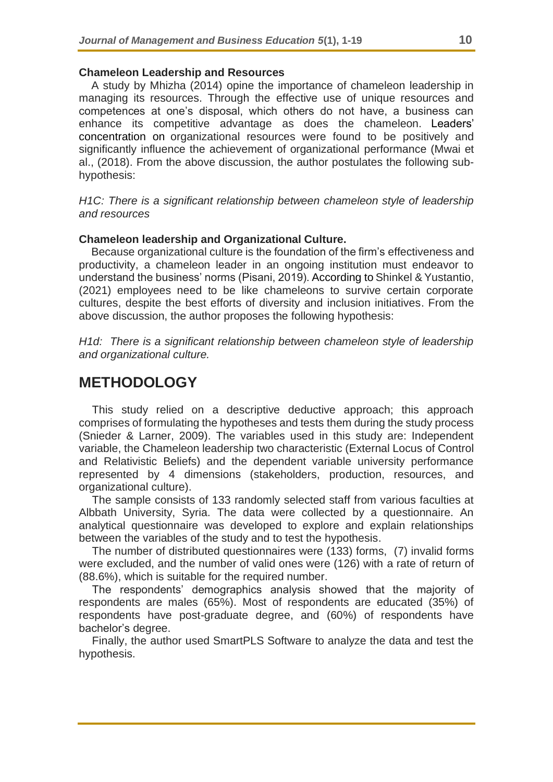#### **Chameleon Leadership and Resources**

A study by Mhizha (2014) opine the importance of chameleon leadership in managing its resources. Through the effective use of unique resources and competences at one's disposal, which others do not have, a business can enhance its competitive advantage as does the chameleon. Leaders' concentration on organizational resources were found to be positively and significantly influence the achievement of organizational performance (Mwai et al., (2018). From the above discussion, the author postulates the following subhypothesis:

*H1C: There is a significant relationship between chameleon style of leadership and resources*

#### **Chameleon leadership and Organizational Culture.**

Because organizational culture is the foundation of the firm's effectiveness and productivity, a chameleon leader in an ongoing institution must endeavor to understand the business' norms (Pisani, 2019). According to Shinkel & Yustantio, (2021) employees need to be like chameleons to survive certain corporate cultures, despite the best efforts of diversity and inclusion initiatives. From the above discussion, the author proposes the following hypothesis:

*H1d: There is a significant relationship between chameleon style of leadership and organizational culture.* 

## **METHODOLOGY**

This study relied on a descriptive deductive approach; this approach comprises of formulating the hypotheses and tests them during the study process (Snieder & Larner, 2009). The variables used in this study are: Independent variable, the Chameleon leadership two characteristic (External Locus of Control and Relativistic Beliefs) and the dependent variable university performance represented by 4 dimensions (stakeholders, production, resources, and organizational culture).

The sample consists of 133 randomly selected staff from various faculties at Albbath University, Syria. The data were collected by a questionnaire. An analytical questionnaire was developed to explore and explain relationships between the variables of the study and to test the hypothesis.

The number of distributed questionnaires were (133) forms, (7) invalid forms were excluded, and the number of valid ones were (126) with a rate of return of (88.6%), which is suitable for the required number.

The respondents' demographics analysis showed that the majority of respondents are males (65%). Most of respondents are educated (35%) of respondents have post-graduate degree, and (60%) of respondents have bachelor's degree.

Finally, the author used SmartPLS Software to analyze the data and test the hypothesis.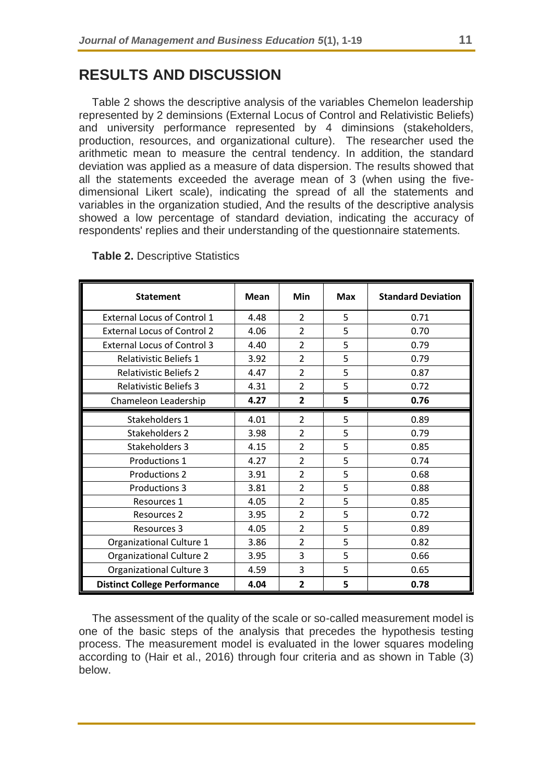# **RESULTS AND DISCUSSION**

Table 2 shows the descriptive analysis of the variables Chemelon leadership represented by 2 deminsions (External Locus of Control and Relativistic Beliefs) and university performance represented by 4 diminsions (stakeholders, production, resources, and organizational culture). The researcher used the arithmetic mean to measure the central tendency. In addition, the standard deviation was applied as a measure of data dispersion. The results showed that all the statements exceeded the average mean of 3 (when using the fivedimensional Likert scale), indicating the spread of all the statements and variables in the organization studied, And the results of the descriptive analysis showed a low percentage of standard deviation, indicating the accuracy of respondents' replies and their understanding of the questionnaire statements .

| <b>Statement</b>                    | <b>Mean</b> | Min            | <b>Max</b> | <b>Standard Deviation</b> |
|-------------------------------------|-------------|----------------|------------|---------------------------|
| <b>External Locus of Control 1</b>  | 4.48        | $\overline{2}$ | 5          | 0.71                      |
| <b>External Locus of Control 2</b>  | 4.06        | $\overline{2}$ | 5          | 0.70                      |
| <b>External Locus of Control 3</b>  | 4.40        | $\overline{2}$ | 5          | 0.79                      |
| <b>Relativistic Beliefs 1</b>       | 3.92        | $\overline{2}$ | 5          | 0.79                      |
| <b>Relativistic Beliefs 2</b>       | 4.47        | $\overline{2}$ | 5          | 0.87                      |
| <b>Relativistic Beliefs 3</b>       | 4.31        | $\overline{2}$ | 5          | 0.72                      |
| Chameleon Leadership                | 4.27        | $\mathbf{2}$   | 5          | 0.76                      |
| Stakeholders 1                      | 4.01        | $\overline{2}$ | 5          | 0.89                      |
| <b>Stakeholders 2</b>               | 3.98        | $\overline{2}$ | 5          | 0.79                      |
| Stakeholders 3                      | 4.15        | $\overline{2}$ | 5          | 0.85                      |
| Productions 1                       | 4.27        | $\overline{2}$ | 5          | 0.74                      |
| Productions 2                       | 3.91        | $\overline{2}$ | 5          | 0.68                      |
| <b>Productions 3</b>                | 3.81        | $\overline{2}$ | 5          | 0.88                      |
| <b>Resources 1</b>                  | 4.05        | $\overline{2}$ | 5          | 0.85                      |
| <b>Resources 2</b>                  | 3.95        | 2              | 5          | 0.72                      |
| <b>Resources 3</b>                  | 4.05        | $\overline{2}$ | 5          | 0.89                      |
| Organizational Culture 1            | 3.86        | $\overline{2}$ | 5          | 0.82                      |
| Organizational Culture 2            | 3.95        | 3              | 5          | 0.66                      |
| <b>Organizational Culture 3</b>     | 4.59        | 3              | 5          | 0.65                      |
| <b>Distinct College Performance</b> | 4.04        | $\overline{2}$ | 5          | 0.78                      |

**Table 2.** Descriptive Statistics

The assessment of the quality of the scale or so-called measurement model is one of the basic steps of the analysis that precedes the hypothesis testing process. The measurement model is evaluated in the lower squares modeling according to (Hair et al., 2016) through four criteria and as shown in Table (3) below.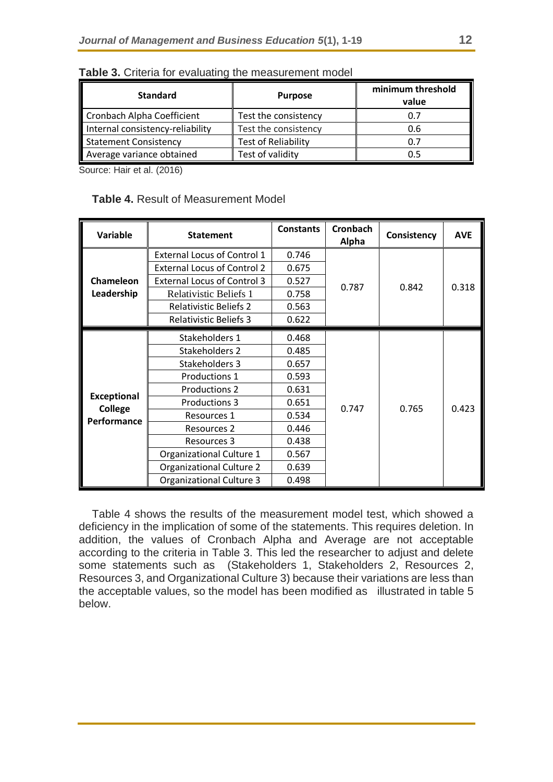| <b>Standard</b>                  | <b>Purpose</b>             | minimum threshold<br>value |
|----------------------------------|----------------------------|----------------------------|
| Cronbach Alpha Coefficient       | Test the consistency       | 0.7                        |
| Internal consistency-reliability | Test the consistency       | 0.6                        |
| <b>Statement Consistency</b>     | <b>Test of Reliability</b> | 0.7                        |
| Average variance obtained        | Test of validity           | 0.5                        |

**Table 3.** Criteria for evaluating the measurement model

Source: Hair et al. (2016)

|  |  |  | <b>Table 4. Result of Measurement Model</b> |  |
|--|--|--|---------------------------------------------|--|
|--|--|--|---------------------------------------------|--|

| Variable                             | <b>Statement</b>                   | <b>Constants</b> | <b>Cronbach</b><br>Alpha | Consistency | <b>AVE</b> |
|--------------------------------------|------------------------------------|------------------|--------------------------|-------------|------------|
|                                      | <b>External Locus of Control 1</b> | 0.746            |                          |             | 0.318      |
|                                      | <b>External Locus of Control 2</b> | 0.675            |                          |             |            |
| Chameleon                            | <b>External Locus of Control 3</b> | 0.527            | 0.787                    | 0.842       |            |
| Leadership                           | Relativistic Beliefs 1             | 0.758            |                          |             |            |
|                                      | <b>Relativistic Beliefs 2</b>      | 0.563            |                          |             |            |
|                                      | <b>Relativistic Beliefs 3</b>      | 0.622            |                          |             |            |
|                                      | Stakeholders 1                     | 0.468            |                          |             |            |
|                                      | Stakeholders 2                     | 0.485            |                          |             |            |
|                                      | Stakeholders 3                     | 0.657            |                          |             |            |
|                                      | Productions 1                      | 0.593            |                          |             |            |
|                                      | <b>Productions 2</b>               | 0.631            |                          |             |            |
| <b>Exceptional</b><br><b>College</b> | <b>Productions 3</b>               | 0.651            | 0.747                    | 0.765       | 0.423      |
| Performance                          | Resources 1                        | 0.534            |                          |             |            |
|                                      | <b>Resources 2</b>                 | 0.446            |                          |             |            |
|                                      | <b>Resources 3</b>                 | 0.438            |                          |             |            |
|                                      | Organizational Culture 1           | 0.567            |                          |             |            |
|                                      | <b>Organizational Culture 2</b>    | 0.639            |                          |             |            |
|                                      | <b>Organizational Culture 3</b>    | 0.498            |                          |             |            |

Table 4 shows the results of the measurement model test, which showed a deficiency in the implication of some of the statements. This requires deletion. In addition, the values of Cronbach Alpha and Average are not acceptable according to the criteria in Table 3. This led the researcher to adjust and delete some statements such as (Stakeholders 1, Stakeholders 2, Resources 2, Resources 3, and Organizational Culture 3) because their variations are less than the acceptable values, so the model has been modified as illustrated in table 5 below.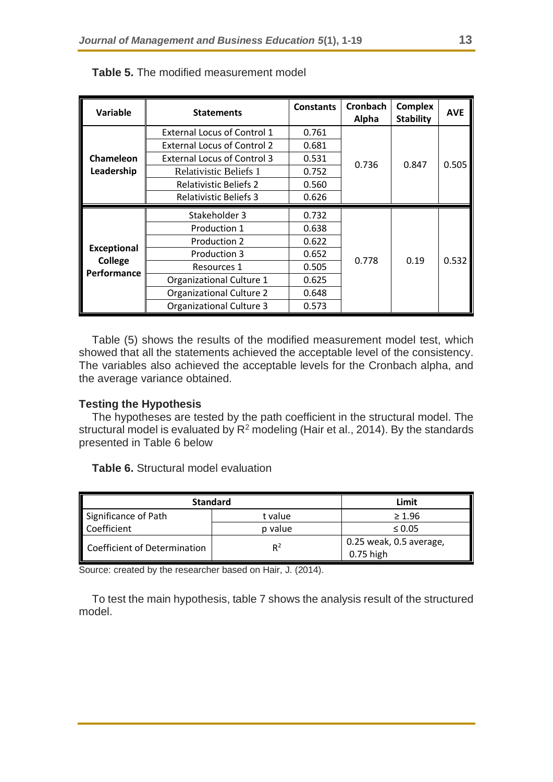| Variable               | <b>Statements</b>                  | <b>Constants</b> | <b>Cronbach</b><br>Alpha | <b>Complex</b><br><b>Stability</b> | <b>AVE</b> |
|------------------------|------------------------------------|------------------|--------------------------|------------------------------------|------------|
|                        | <b>External Locus of Control 1</b> | 0.761            |                          |                                    |            |
|                        | <b>External Locus of Control 2</b> | 0.681            |                          |                                    |            |
| Chameleon              | <b>External Locus of Control 3</b> | 0.531            |                          |                                    |            |
| Leadership             | Relativistic Beliefs 1             | 0.752            | 0.736                    | 0.847                              | 0.505      |
|                        | <b>Relativistic Beliefs 2</b>      | 0.560            |                          |                                    |            |
|                        | <b>Relativistic Beliefs 3</b>      | 0.626            |                          |                                    |            |
|                        | Stakeholder 3                      | 0.732            |                          |                                    |            |
|                        | Production 1                       | 0.638            |                          |                                    |            |
|                        | Production 2                       | 0.622            |                          |                                    |            |
| <b>Exceptional</b>     | Production 3                       | 0.652            |                          |                                    |            |
| College<br>Performance | Resources 1                        | 0.505            | 0.778                    | 0.19                               | 0.532      |
|                        | Organizational Culture 1           | 0.625            |                          |                                    |            |
|                        | Organizational Culture 2           | 0.648            |                          |                                    |            |
|                        | <b>Organizational Culture 3</b>    | 0.573            |                          |                                    |            |

### **Table 5.** The modified measurement model

Table (5) shows the results of the modified measurement model test, which showed that all the statements achieved the acceptable level of the consistency. The variables also achieved the acceptable levels for the Cronbach alpha, and the average variance obtained.

## **Testing the Hypothesis**

The hypotheses are tested by the path coefficient in the structural model. The structural model is evaluated by  $R^2$  modeling (Hair et al., 2014). By the standards presented in Table 6 below

**Table 6.** Structural model evaluation

| <b>Standard</b>              | Limit   |                         |  |
|------------------------------|---------|-------------------------|--|
| Significance of Path         | t value | $\geq 1.96$             |  |
| Coefficient                  | p value | $\leq 0.05$             |  |
| Coefficient of Determination | $R^2$   | 0.25 weak, 0.5 average, |  |
|                              |         | $0.75$ high             |  |

Source: created by the researcher based on Hair, J. (2014).

To test the main hypothesis, table 7 shows the analysis result of the structured model.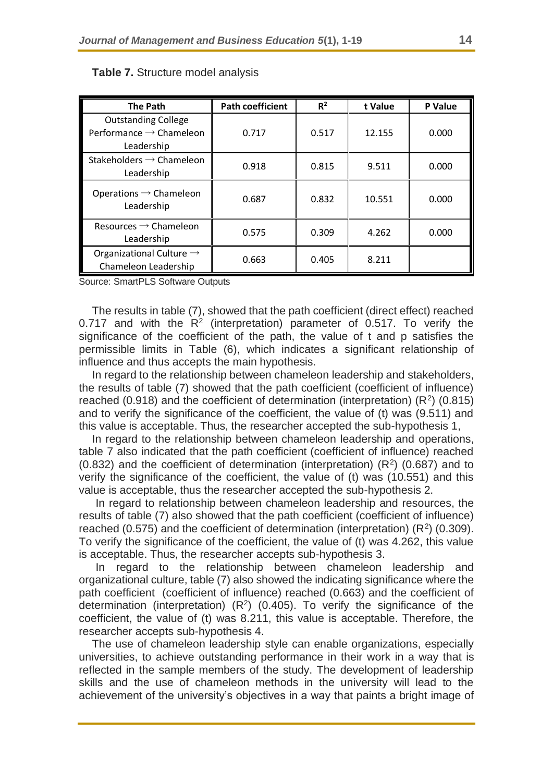| <b>The Path</b>                                                                 | <b>Path coefficient</b> | $R^2$ | t Value | P Value |
|---------------------------------------------------------------------------------|-------------------------|-------|---------|---------|
| <b>Outstanding College</b><br>Performance $\rightarrow$ Chameleon<br>Leadership | 0.717                   | 0.517 | 12.155  | 0.000   |
| Stakeholders $\rightarrow$ Chameleon<br>Leadership                              | 0.918                   | 0.815 | 9.511   | 0.000   |
| Operations $\rightarrow$ Chameleon<br>Leadership                                | 0.687                   | 0.832 | 10.551  | 0.000   |
| Resources $\rightarrow$ Chameleon<br>Leadership                                 | 0.575                   | 0.309 | 4.262   | 0.000   |
| Organizational Culture $\rightarrow$<br>Chameleon Leadership                    | 0.663                   | 0.405 | 8.211   |         |

#### **Table 7.** Structure model analysis

Source: SmartPLS Software Outputs

The results in table (7), showed that the path coefficient (direct effect) reached 0.717 and with the  $R^2$  (interpretation) parameter of 0.517. To verify the significance of the coefficient of the path, the value of t and p satisfies the permissible limits in Table (6), which indicates a significant relationship of influence and thus accepts the main hypothesis.

In regard to the relationship between chameleon leadership and stakeholders, the results of table (7) showed that the path coefficient (coefficient of influence) reached (0.918) and the coefficient of determination (interpretation)  $(R^2)$  (0.815) and to verify the significance of the coefficient, the value of (t) was (9.511) and this value is acceptable. Thus, the researcher accepted the sub-hypothesis 1,

In regard to the relationship between chameleon leadership and operations, table 7 also indicated that the path coefficient (coefficient of influence) reached (0.832) and the coefficient of determination (interpretation)  $(R<sup>2</sup>)$  (0.687) and to verify the significance of the coefficient, the value of (t) was (10.551) and this value is acceptable, thus the researcher accepted the sub-hypothesis 2.

In regard to relationship between chameleon leadership and resources, the results of table (7) also showed that the path coefficient (coefficient of influence) reached (0.575) and the coefficient of determination (interpretation)  $(R^2)$  (0.309). To verify the significance of the coefficient, the value of (t) was 4.262, this value is acceptable. Thus, the researcher accepts sub-hypothesis 3.

In regard to the relationship between chameleon leadership and organizational culture, table (7) also showed the indicating significance where the path coefficient (coefficient of influence) reached (0.663) and the coefficient of determination (interpretation)  $(R^2)$  (0.405). To verify the significance of the coefficient, the value of (t) was 8.211, this value is acceptable. Therefore, the researcher accepts sub-hypothesis 4.

The use of chameleon leadership style can enable organizations, especially universities, to achieve outstanding performance in their work in a way that is reflected in the sample members of the study. The development of leadership skills and the use of chameleon methods in the university will lead to the achievement of the university's objectives in a way that paints a bright image of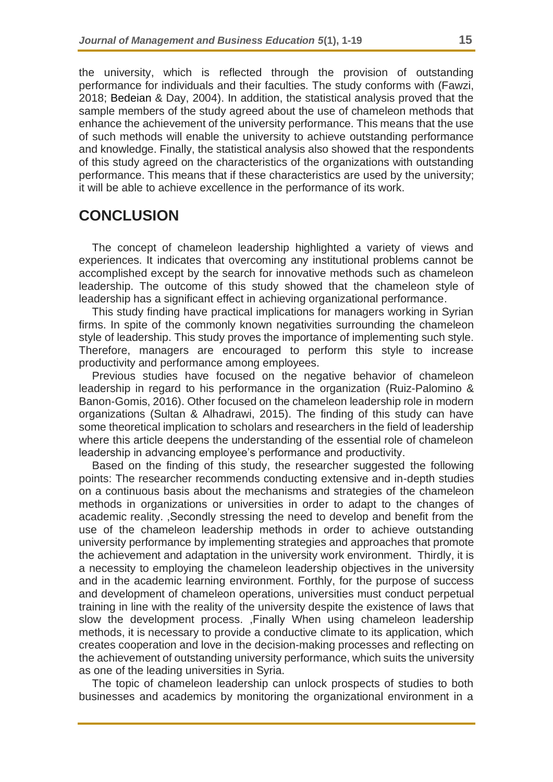the university, which is reflected through the provision of outstanding performance for individuals and their faculties. The study conforms with (Fawzi, 2018; Bedeian & Day, 2004). In addition, the statistical analysis proved that the sample members of the study agreed about the use of chameleon methods that enhance the achievement of the university performance. This means that the use of such methods will enable the university to achieve outstanding performance and knowledge. Finally, the statistical analysis also showed that the respondents of this study agreed on the characteristics of the organizations with outstanding performance. This means that if these characteristics are used by the university; it will be able to achieve excellence in the performance of its work.

# **CONCLUSION**

The concept of chameleon leadership highlighted a variety of views and experiences. It indicates that overcoming any institutional problems cannot be accomplished except by the search for innovative methods such as chameleon leadership. The outcome of this study showed that the chameleon style of leadership has a significant effect in achieving organizational performance.

This study finding have practical implications for managers working in Syrian firms. In spite of the commonly known negativities surrounding the chameleon style of leadership. This study proves the importance of implementing such style. Therefore, managers are encouraged to perform this style to increase productivity and performance among employees.

Previous studies have focused on the negative behavior of chameleon leadership in regard to his performance in the organization (Ruiz-Palomino & Banon-Gomis, 2016). Other focused on the chameleon leadership role in modern organizations (Sultan & Alhadrawi, 2015). The finding of this study can have some theoretical implication to scholars and researchers in the field of leadership where this article deepens the understanding of the essential role of chameleon leadership in advancing employee's performance and productivity.

Based on the finding of this study, the researcher suggested the following points: The researcher recommends conducting extensive and in-depth studies on a continuous basis about the mechanisms and strategies of the chameleon methods in organizations or universities in order to adapt to the changes of academic reality. ,Secondly stressing the need to develop and benefit from the use of the chameleon leadership methods in order to achieve outstanding university performance by implementing strategies and approaches that promote the achievement and adaptation in the university work environment. Thirdly, it is a necessity to employing the chameleon leadership objectives in the university and in the academic learning environment. Forthly, for the purpose of success and development of chameleon operations, universities must conduct perpetual training in line with the reality of the university despite the existence of laws that slow the development process. ,Finally When using chameleon leadership methods, it is necessary to provide a conductive climate to its application, which creates cooperation and love in the decision-making processes and reflecting on the achievement of outstanding university performance, which suits the university as one of the leading universities in Syria.

The topic of chameleon leadership can unlock prospects of studies to both businesses and academics by monitoring the organizational environment in a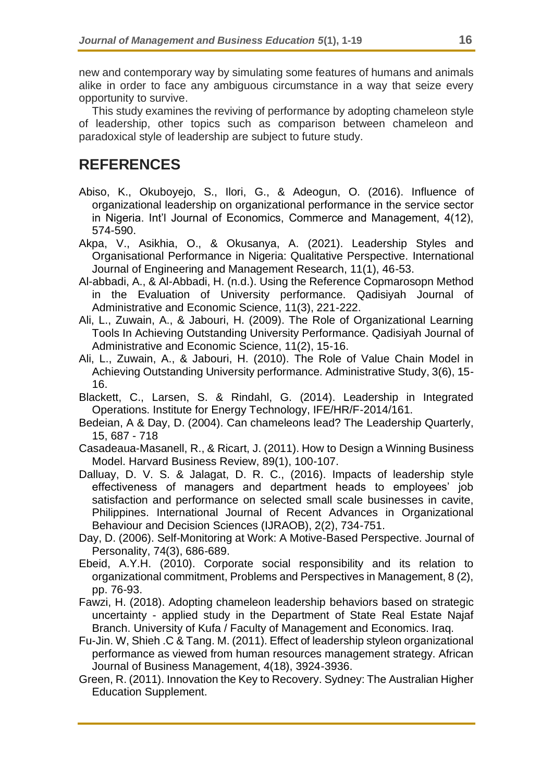new and contemporary way by simulating some features of humans and animals alike in order to face any ambiguous circumstance in a way that seize every opportunity to survive.

This study examines the reviving of performance by adopting chameleon style of leadership, other topics such as comparison between chameleon and paradoxical style of leadership are subject to future study.

# **REFERENCES**

- Abiso, K., Okuboyejo, S., Ilori, G., & Adeogun, O. (2016). Influence of organizational leadership on organizational performance in the service sector in Nigeria. Int'l Journal of Economics, Commerce and Management, 4(12), 574-590.
- Akpa, V., Asikhia, O., & Okusanya, A. (2021). Leadership Styles and Organisational Performance in Nigeria: Qualitative Perspective. International Journal of Engineering and Management Research, 11(1), 46-53.
- Al-abbadi, A., & Al-Abbadi, H. (n.d.). Using the Reference Copmarosopn Method in the Evaluation of University performance. Qadisiyah Journal of Administrative and Economic Science, 11(3), 221-222.
- Ali, L., Zuwain, A., & Jabouri, H. (2009). The Role of Organizational Learning Tools In Achieving Outstanding University Performance. Qadisiyah Journal of Administrative and Economic Science, 11(2), 15-16.
- Ali, L., Zuwain, A., & Jabouri, H. (2010). The Role of Value Chain Model in Achieving Outstanding University performance. Administrative Study, 3(6), 15- 16.
- Blackett, C., Larsen, S. & Rindahl, G. (2014). Leadership in Integrated Operations. Institute for Energy Technology, IFE/HR/F-2014/161.
- Bedeian, A & Day, D. (2004). Can chameleons lead? The Leadership Quarterly, 15, 687 - 718
- Casadeaua-Masanell, R., & Ricart, J. (2011). How to Design a Winning Business Model. Harvard Business Review, 89(1), 100-107.
- Dalluay, D. V. S. & Jalagat, D. R. C., (2016). Impacts of leadership style effectiveness of managers and department heads to employees' job satisfaction and performance on selected small scale businesses in cavite, Philippines. International Journal of Recent Advances in Organizational Behaviour and Decision Sciences (IJRAOB), 2(2), 734-751.
- Day, D. (2006). Self-Monitoring at Work: A Motive-Based Perspective. Journal of Personality, 74(3), 686-689.
- Ebeid, A.Y.H. (2010). Corporate social responsibility and its relation to organizational commitment, Problems and Perspectives in Management, 8 (2), pp. 76-93.
- Fawzi, H. (2018). Adopting chameleon leadership behaviors based on strategic uncertainty - applied study in the Department of State Real Estate Najaf Branch. University of Kufa / Faculty of Management and Economics. Iraq.
- Fu-Jin. W, Shieh .C & Tang. M. (2011). Effect of leadership styleon organizational performance as viewed from human resources management strategy. African Journal of Business Management, 4(18), 3924-3936.
- Green, R. (2011). Innovation the Key to Recovery. Sydney: The Australian Higher Education Supplement.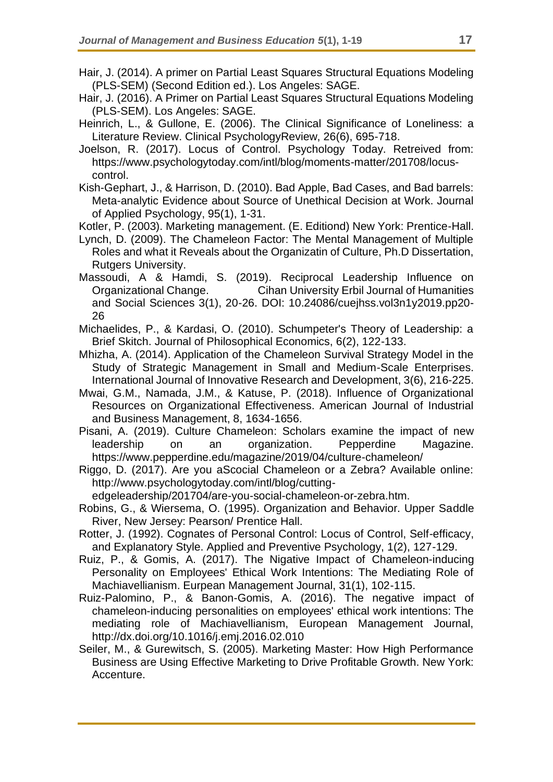- Hair, J. (2014). A primer on Partial Least Squares Structural Equations Modeling (PLS-SEM) (Second Edition ed.). Los Angeles: SAGE.
- Hair, J. (2016). A Primer on Partial Least Squares Structural Equations Modeling (PLS-SEM). Los Angeles: SAGE.
- Heinrich, L., & Gullone, E. (2006). The Clinical Significance of Loneliness: a Literature Review. Clinical PsychologyReview, 26(6), 695-718.
- Joelson, R. (2017). Locus of Control. Psychology Today. Retreived from: https://www.psychologytoday.com/intl/blog/moments-matter/201708/locuscontrol.
- Kish-Gephart, J., & Harrison, D. (2010). Bad Apple, Bad Cases, and Bad barrels: Meta-analytic Evidence about Source of Unethical Decision at Work. Journal of Applied Psychology, 95(1), 1-31.

Kotler, P. (2003). Marketing management. (E. Editiond) New York: Prentice-Hall.

- Lynch, D. (2009). The Chameleon Factor: The Mental Management of Multiple Roles and what it Reveals about the Organizatin of Culture, Ph.D Dissertation, Rutgers University.
- Massoudi, A & Hamdi, S. (2019). Reciprocal Leadership Influence on Organizational Change. Cihan University Erbil Journal of Humanities and Social Sciences 3(1), 20-26. DOI: 10.24086/cuejhss.vol3n1y2019.pp20- 26
- Michaelides, P., & Kardasi, O. (2010). Schumpeter's Theory of Leadership: a Brief Skitch. Journal of Philosophical Economics, 6(2), 122-133.
- Mhizha, A. (2014). Application of the Chameleon Survival Strategy Model in the Study of Strategic Management in Small and Medium-Scale Enterprises. International Journal of Innovative Research and Development, 3(6), 216-225.
- Mwai, G.M., Namada, J.M., & Katuse, P. (2018). Influence of Organizational Resources on Organizational Effectiveness. American Journal of Industrial and Business Management, 8, 1634-1656.
- Pisani, A. (2019). Culture Chameleon: Scholars examine the impact of new leadership on an organization. Pepperdine Magazine. https://www.pepperdine.edu/magazine/2019/04/culture-chameleon/
- Riggo, D. (2017). Are you aScocial Chameleon or a Zebra? Available online: http://www.psychologytoday.com/intl/blog/cutting-

edgeleadership/201704/are-you-social-chameleon-or-zebra.htm.

- Robins, G., & Wiersema, O. (1995). Organization and Behavior. Upper Saddle River, New Jersey: Pearson/ Prentice Hall.
- Rotter, J. (1992). Cognates of Personal Control: Locus of Control, Self-efficacy, and Explanatory Style. Applied and Preventive Psychology, 1(2), 127-129.
- Ruiz, P., & Gomis, A. (2017). The Nigative Impact of Chameleon-inducing Personality on Employees' Ethical Work Intentions: The Mediating Role of Machiavellianism. Eurpean Management Journal, 31(1), 102-115.
- Ruiz-Palomino, P., & Banon-Gomis, A. (2016). The negative impact of chameleon-inducing personalities on employees' ethical work intentions: The mediating role of Machiavellianism, European Management Journal, http://dx.doi.org/10.1016/j.emj.2016.02.010
- Seiler, M., & Gurewitsch, S. (2005). Marketing Master: How High Performance Business are Using Effective Marketing to Drive Profitable Growth. New York: Accenture.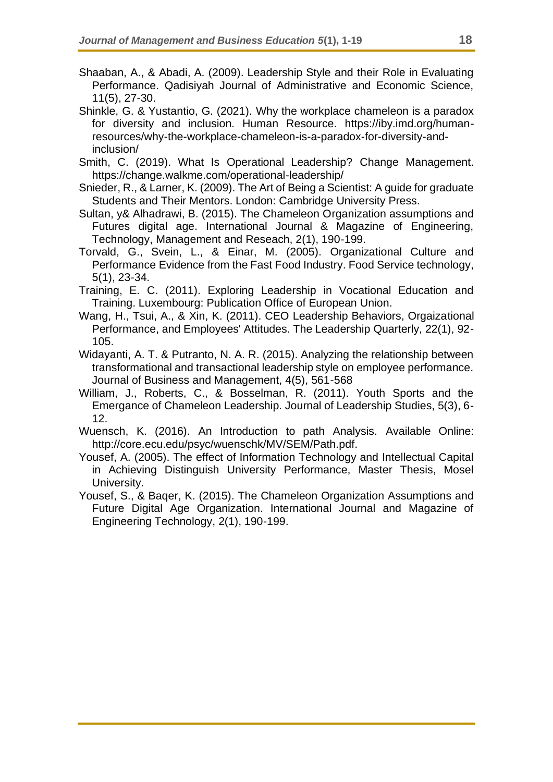- Shaaban, A., & Abadi, A. (2009). Leadership Style and their Role in Evaluating Performance. Qadisiyah Journal of Administrative and Economic Science, 11(5), 27-30.
- Shinkle, G. & Yustantio, G. (2021). Why the workplace chameleon is a paradox for diversity and inclusion. Human Resource. https://iby.imd.org/humanresources/why-the-workplace-chameleon-is-a-paradox-for-diversity-andinclusion/
- Smith, C. (2019). What Is Operational Leadership? Change Management. https://change.walkme.com/operational-leadership/
- Snieder, R., & Larner, K. (2009). The Art of Being a Scientist: A guide for graduate Students and Their Mentors. London: Cambridge University Press.
- Sultan, y& Alhadrawi, B. (2015). The Chameleon Organization assumptions and Futures digital age. International Journal & Magazine of Engineering, Technology, Management and Reseach, 2(1), 190-199.
- Torvald, G., Svein, L., & Einar, M. (2005). Organizational Culture and Performance Evidence from the Fast Food Industry. Food Service technology, 5(1), 23-34.
- Training, E. C. (2011). Exploring Leadership in Vocational Education and Training. Luxembourg: Publication Office of European Union.
- Wang, H., Tsui, A., & Xin, K. (2011). CEO Leadership Behaviors, Orgaizational Performance, and Employees' Attitudes. The Leadership Quarterly, 22(1), 92- 105.
- Widayanti, A. T. & Putranto, N. A. R. (2015). Analyzing the relationship between transformational and transactional leadership style on employee performance. Journal of Business and Management, 4(5), 561-568
- William, J., Roberts, C., & Bosselman, R. (2011). Youth Sports and the Emergance of Chameleon Leadership. Journal of Leadership Studies, 5(3), 6- 12.
- Wuensch, K. (2016). An Introduction to path Analysis. Available Online: http://core.ecu.edu/psyc/wuenschk/MV/SEM/Path.pdf.
- Yousef, A. (2005). The effect of Information Technology and Intellectual Capital in Achieving Distinguish University Performance, Master Thesis, Mosel University.
- Yousef, S., & Baqer, K. (2015). The Chameleon Organization Assumptions and Future Digital Age Organization. International Journal and Magazine of Engineering Technology, 2(1), 190-199.